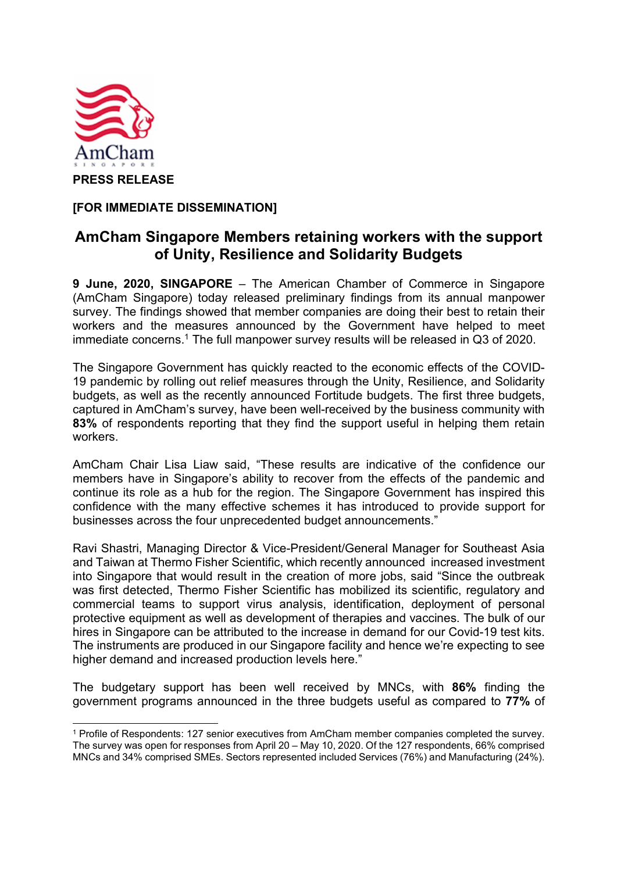

[FOR IMMEDIATE DISSEMINATION]

## AmCham Singapore Members retaining workers with the support of Unity, Resilience and Solidarity Budgets

9 June, 2020, SINGAPORE – The American Chamber of Commerce in Singapore (AmCham Singapore) today released preliminary findings from its annual manpower survey. The findings showed that member companies are doing their best to retain their workers and the measures announced by the Government have helped to meet immediate concerns.1 The full manpower survey results will be released in Q3 of 2020.

 The Singapore Government has quickly reacted to the economic effects of the COVID-19 pandemic by rolling out relief measures through the Unity, Resilience, and Solidarity budgets, as well as the recently announced Fortitude budgets. The first three budgets, captured in AmCham's survey, have been well-received by the business community with 83% of respondents reporting that they find the support useful in helping them retain workers.

AmCham Chair Lisa Liaw said, "These results are indicative of the confidence our members have in Singapore's ability to recover from the effects of the pandemic and continue its role as a hub for the region. The Singapore Government has inspired this confidence with the many effective schemes it has introduced to provide support for businesses across the four unprecedented budget announcements."

Ravi Shastri, Managing Director & Vice-President/General Manager for Southeast Asia and Taiwan at Thermo Fisher Scientific, which recently announced increased investment into Singapore that would result in the creation of more jobs, said "Since the outbreak was first detected, Thermo Fisher Scientific has mobilized its scientific, regulatory and commercial teams to support virus analysis, identification, deployment of personal protective equipment as well as development of therapies and vaccines. The bulk of our hires in Singapore can be attributed to the increase in demand for our Covid-19 test kits. The instruments are produced in our Singapore facility and hence we're expecting to see higher demand and increased production levels here."

The budgetary support has been well received by MNCs, with 86% finding the government programs announced in the three budgets useful as compared to 77% of

<sup>1</sup> Profile of Respondents: 127 senior executives from AmCham member companies completed the survey. The survey was open for responses from April 20 – May 10, 2020. Of the 127 respondents, 66% comprised MNCs and 34% comprised SMEs. Sectors represented included Services (76%) and Manufacturing (24%).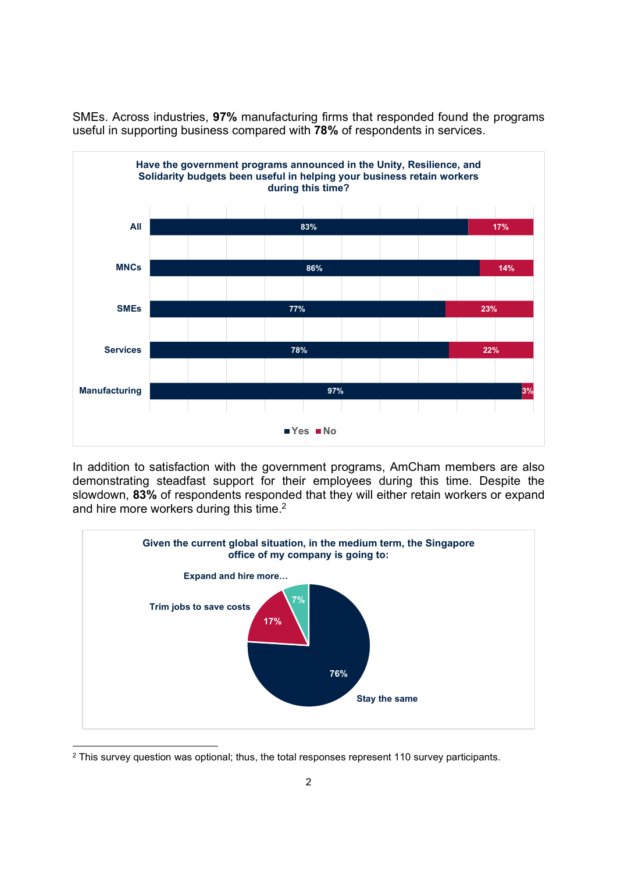SMEs. Across industries, 97% manufacturing firms that responded found the programs useful in supporting business compared with 78% of respondents in services.



In addition to satisfaction with the government programs, AmCham members are also demonstrating steadfast support for their employees during this time. Despite the slowdown, 83% of respondents responded that they will either retain workers or expand and hire more workers during this time.<sup>2</sup>



 $^2$  This survey question was optional; thus, the total responses represent 110 survey participants.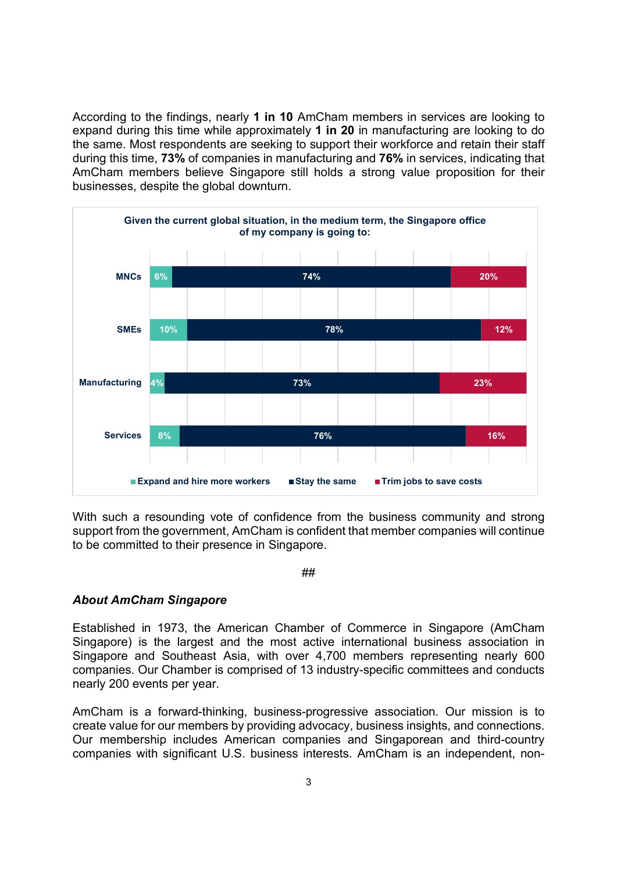According to the findings, nearly 1 in 10 AmCham members in services are looking to expand during this time while approximately 1 in 20 in manufacturing are looking to do the same. Most respondents are seeking to support their workforce and retain their staff during this time, 73% of companies in manufacturing and 76% in services, indicating that AmCham members believe Singapore still holds a strong value proposition for their businesses, despite the global downturn.



With such a resounding vote of confidence from the business community and strong support from the government, AmCham is confident that member companies will continue to be committed to their presence in Singapore.

##

## About AmCham Singapore

Established in 1973, the American Chamber of Commerce in Singapore (AmCham Singapore) is the largest and the most active international business association in Singapore and Southeast Asia, with over 4,700 members representing nearly 600 companies. Our Chamber is comprised of 13 industry-specific committees and conducts nearly 200 events per year.

AmCham is a forward-thinking, business-progressive association. Our mission is to create value for our members by providing advocacy, business insights, and connections. Our membership includes American companies and Singaporean and third-country companies with significant U.S. business interests. AmCham is an independent, non